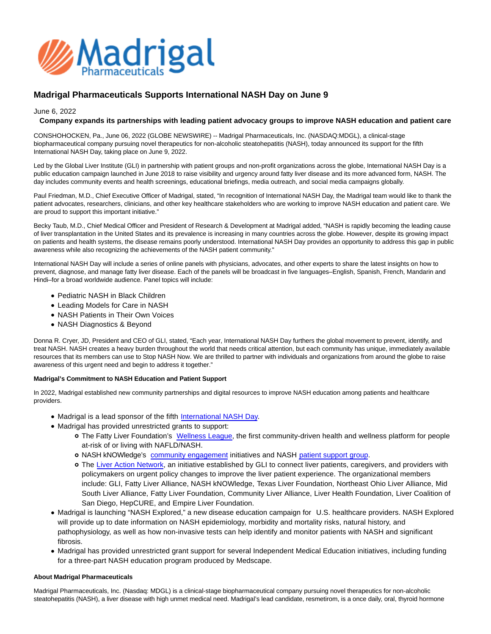

# **Madrigal Pharmaceuticals Supports International NASH Day on June 9**

June 6, 2022

# **Company expands its partnerships with leading patient advocacy groups to improve NASH education and patient care**

CONSHOHOCKEN, Pa., June 06, 2022 (GLOBE NEWSWIRE) -- Madrigal Pharmaceuticals, Inc. (NASDAQ:MDGL), a clinical-stage biopharmaceutical company pursuing novel therapeutics for non-alcoholic steatohepatitis (NASH), today announced its support for the fifth International NASH Day, taking place on June 9, 2022.

Led by the Global Liver Institute (GLI) in partnership with patient groups and non-profit organizations across the globe, International NASH Day is a public education campaign launched in June 2018 to raise visibility and urgency around fatty liver disease and its more advanced form, NASH. The day includes community events and health screenings, educational briefings, media outreach, and social media campaigns globally.

Paul Friedman, M.D., Chief Executive Officer of Madrigal, stated, "In recognition of International NASH Day, the Madrigal team would like to thank the patient advocates, researchers, clinicians, and other key healthcare stakeholders who are working to improve NASH education and patient care. We are proud to support this important initiative."

Becky Taub, M.D., Chief Medical Officer and President of Research & Development at Madrigal added, "NASH is rapidly becoming the leading cause of liver transplantation in the United States and its prevalence is increasing in many countries across the globe. However, despite its growing impact on patients and health systems, the disease remains poorly understood. International NASH Day provides an opportunity to address this gap in public awareness while also recognizing the achievements of the NASH patient community."

International NASH Day will include a series of online panels with physicians, advocates, and other experts to share the latest insights on how to prevent, diagnose, and manage fatty liver disease. Each of the panels will be broadcast in five languages–English, Spanish, French, Mandarin and Hindi–for a broad worldwide audience. Panel topics will include:

- Pediatric NASH in Black Children
- Leading Models for Care in NASH
- NASH Patients in Their Own Voices
- NASH Diagnostics & Beyond

Donna R. Cryer, JD, President and CEO of GLI, stated, "Each year, International NASH Day furthers the global movement to prevent, identify, and treat NASH. NASH creates a heavy burden throughout the world that needs critical attention, but each community has unique, immediately available resources that its members can use to Stop NASH Now. We are thrilled to partner with individuals and organizations from around the globe to raise awareness of this urgent need and begin to address it together."

# **Madrigal's Commitment to NASH Education and Patient Support**

In 2022, Madrigal established new community partnerships and digital resources to improve NASH education among patients and healthcare providers.

- Madrigal is a lead sponsor of the fifth [International NASH Day.](https://www.international-nash-day.com/)
- Madrigal has provided unrestricted grants to support:
	- The Fatty Liver Foundation's [Wellness League,](https://www.thewellnessleague.org/) the first community-driven health and wellness platform for people at-risk of or living with NAFLD/NASH.
	- o NASH kNOWledge's [community engagement i](https://www.nash-now.org/our-mission/)nitiatives and NASH [patient support group.](https://www.nash-now.org/nash-support-group/)
	- The [Liver Action Network,](https://www.globalliver.org/news/2021/05/global-liver-institute-announces-liver-action-network-to-unify-and-elevate-advocates-across-the-united-states) an initiative established by GLI to connect liver patients, caregivers, and providers with policymakers on urgent policy changes to improve the liver patient experience. The organizational members include: GLI, Fatty Liver Alliance, NASH kNOWledge, Texas Liver Foundation, Northeast Ohio Liver Alliance, Mid South Liver Alliance, Fatty Liver Foundation, Community Liver Alliance, Liver Health Foundation, Liver Coalition of San Diego, HepCURE, and Empire Liver Foundation.
- Madrigal is launching "NASH Explored," a new disease education campaign for U.S. healthcare providers. NASH Explored will provide up to date information on NASH epidemiology, morbidity and mortality risks, natural history, and pathophysiology, as well as how non-invasive tests can help identify and monitor patients with NASH and significant fibrosis.
- Madrigal has provided unrestricted grant support for several Independent Medical Education initiatives, including funding for a three-part NASH education program produced by Medscape.

## **About Madrigal Pharmaceuticals**

Madrigal Pharmaceuticals, Inc. (Nasdaq: MDGL) is a clinical-stage biopharmaceutical company pursuing novel therapeutics for non-alcoholic steatohepatitis (NASH), a liver disease with high unmet medical need. Madrigal's lead candidate, resmetirom, is a once daily, oral, thyroid hormone